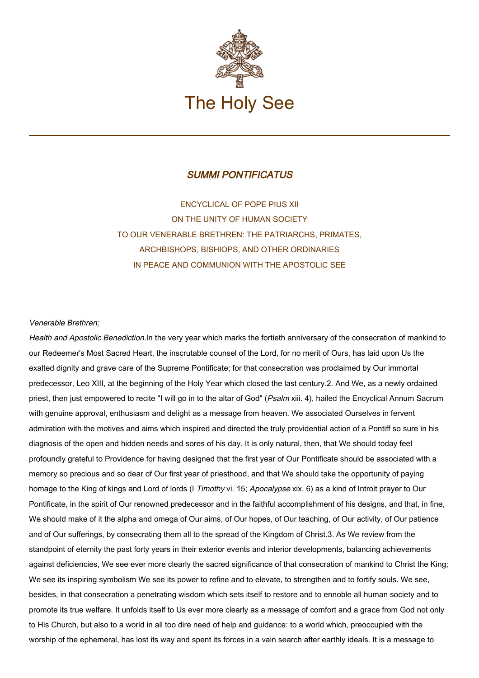

## SUMMI PONTIFICATUS

ENCYCLICAL OF POPE PIUS XII ON THE UNITY OF HUMAN SOCIETY TO OUR VENERABLE BRETHREN: THE PATRIARCHS, PRIMATES, ARCHBISHOPS, BISHIOPS, AND OTHER ORDINARIES IN PEACE AND COMMUNION WITH THE APOSTOLIC SEE

## Venerable Brethren;

Health and Apostolic Benediction.In the very year which marks the fortieth anniversary of the consecration of mankind to our Redeemer's Most Sacred Heart, the inscrutable counsel of the Lord, for no merit of Ours, has laid upon Us the exalted dignity and grave care of the Supreme Pontificate; for that consecration was proclaimed by Our immortal predecessor, Leo XIII, at the beginning of the Holy Year which closed the last century.2. And We, as a newly ordained priest, then just empowered to recite "I will go in to the altar of God" (Psalm xiii. 4), hailed the Encyclical Annum Sacrum with genuine approval, enthusiasm and delight as a message from heaven. We associated Ourselves in fervent admiration with the motives and aims which inspired and directed the truly providential action of a Pontiff so sure in his diagnosis of the open and hidden needs and sores of his day. It is only natural, then, that We should today feel profoundly grateful to Providence for having designed that the first year of Our Pontificate should be associated with a memory so precious and so dear of Our first year of priesthood, and that We should take the opportunity of paying homage to the King of kings and Lord of lords (I Timothy vi. 15; Apocalypse xix. 6) as a kind of Introit prayer to Our Pontificate, in the spirit of Our renowned predecessor and in the faithful accomplishment of his designs, and that, in fine, We should make of it the alpha and omega of Our aims, of Our hopes, of Our teaching, of Our activity, of Our patience and of Our sufferings, by consecrating them all to the spread of the Kingdom of Christ.3. As We review from the standpoint of eternity the past forty years in their exterior events and interior developments, balancing achievements against deficiencies, We see ever more clearly the sacred significance of that consecration of mankind to Christ the King; We see its inspiring symbolism We see its power to refine and to elevate, to strengthen and to fortify souls. We see, besides, in that consecration a penetrating wisdom which sets itself to restore and to ennoble all human society and to promote its true welfare. It unfolds itself to Us ever more clearly as a message of comfort and a grace from God not only to His Church, but also to a world in all too dire need of help and guidance: to a world which, preoccupied with the worship of the ephemeral, has lost its way and spent its forces in a vain search after earthly ideals. It is a message to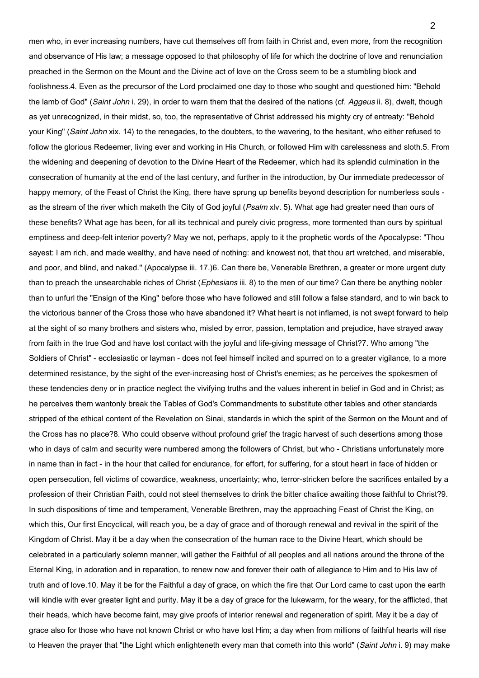men who, in ever increasing numbers, have cut themselves off from faith in Christ and, even more, from the recognition and observance of His law; a message opposed to that philosophy of life for which the doctrine of love and renunciation preached in the Sermon on the Mount and the Divine act of love on the Cross seem to be a stumbling block and foolishness.4. Even as the precursor of the Lord proclaimed one day to those who sought and questioned him: "Behold the lamb of God" (Saint John i. 29), in order to warn them that the desired of the nations (cf. Aggeus ii. 8), dwelt, though as yet unrecognized, in their midst, so, too, the representative of Christ addressed his mighty cry of entreaty: "Behold your King" (Saint John xix. 14) to the renegades, to the doubters, to the wavering, to the hesitant, who either refused to follow the glorious Redeemer, living ever and working in His Church, or followed Him with carelessness and sloth.5. From the widening and deepening of devotion to the Divine Heart of the Redeemer, which had its splendid culmination in the consecration of humanity at the end of the last century, and further in the introduction, by Our immediate predecessor of happy memory, of the Feast of Christ the King, there have sprung up benefits beyond description for numberless souls as the stream of the river which maketh the City of God joyful (Psalm xlv. 5). What age had greater need than ours of these benefits? What age has been, for all its technical and purely civic progress, more tormented than ours by spiritual emptiness and deep-felt interior poverty? May we not, perhaps, apply to it the prophetic words of the Apocalypse: "Thou sayest: I am rich, and made wealthy, and have need of nothing: and knowest not, that thou art wretched, and miserable, and poor, and blind, and naked." (Apocalypse iii. 17.)6. Can there be, Venerable Brethren, a greater or more urgent duty than to preach the unsearchable riches of Christ (*Ephesians* iii. 8) to the men of our time? Can there be anything nobler than to unfurl the "Ensign of the King" before those who have followed and still follow a false standard, and to win back to the victorious banner of the Cross those who have abandoned it? What heart is not inflamed, is not swept forward to help at the sight of so many brothers and sisters who, misled by error, passion, temptation and prejudice, have strayed away from faith in the true God and have lost contact with the joyful and life-giving message of Christ?7. Who among "the Soldiers of Christ" - ecclesiastic or layman - does not feel himself incited and spurred on to a greater vigilance, to a more determined resistance, by the sight of the ever-increasing host of Christ's enemies; as he perceives the spokesmen of these tendencies deny or in practice neglect the vivifying truths and the values inherent in belief in God and in Christ; as he perceives them wantonly break the Tables of God's Commandments to substitute other tables and other standards stripped of the ethical content of the Revelation on Sinai, standards in which the spirit of the Sermon on the Mount and of the Cross has no place?8. Who could observe without profound grief the tragic harvest of such desertions among those who in days of calm and security were numbered among the followers of Christ, but who - Christians unfortunately more in name than in fact - in the hour that called for endurance, for effort, for suffering, for a stout heart in face of hidden or open persecution, fell victims of cowardice, weakness, uncertainty; who, terror-stricken before the sacrifices entailed by a profession of their Christian Faith, could not steel themselves to drink the bitter chalice awaiting those faithful to Christ?9. In such dispositions of time and temperament, Venerable Brethren, may the approaching Feast of Christ the King, on which this, Our first Encyclical, will reach you, be a day of grace and of thorough renewal and revival in the spirit of the Kingdom of Christ. May it be a day when the consecration of the human race to the Divine Heart, which should be celebrated in a particularly solemn manner, will gather the Faithful of all peoples and all nations around the throne of the Eternal King, in adoration and in reparation, to renew now and forever their oath of allegiance to Him and to His law of truth and of love.10. May it be for the Faithful a day of grace, on which the fire that Our Lord came to cast upon the earth will kindle with ever greater light and purity. May it be a day of grace for the lukewarm, for the weary, for the afflicted, that their heads, which have become faint, may give proofs of interior renewal and regeneration of spirit. May it be a day of grace also for those who have not known Christ or who have lost Him; a day when from millions of faithful hearts will rise to Heaven the prayer that "the Light which enlighteneth every man that cometh into this world" (Saint John i. 9) may make

 $\mathcal{P}$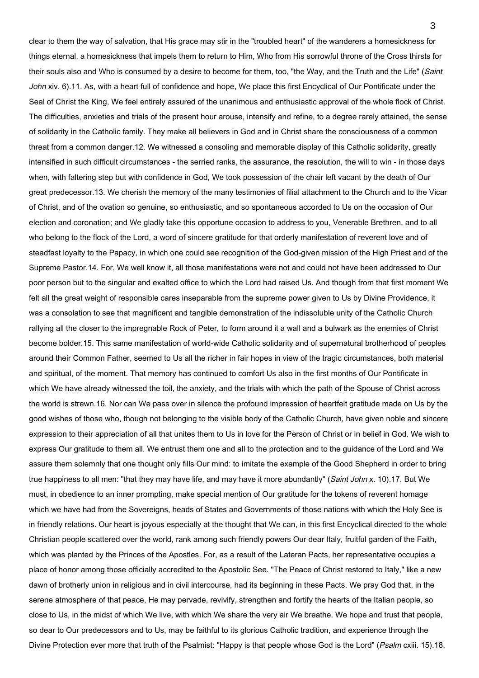clear to them the way of salvation, that His grace may stir in the "troubled heart" of the wanderers a homesickness for things eternal, a homesickness that impels them to return to Him, Who from His sorrowful throne of the Cross thirsts for their souls also and Who is consumed by a desire to become for them, too, "the Way, and the Truth and the Life" (Saint John xiv. 6).11. As, with a heart full of confidence and hope. We place this first Encyclical of Our Pontificate under the Seal of Christ the King, We feel entirely assured of the unanimous and enthusiastic approval of the whole flock of Christ. The difficulties, anxieties and trials of the present hour arouse, intensify and refine, to a degree rarely attained, the sense of solidarity in the Catholic family. They make all believers in God and in Christ share the consciousness of a common threat from a common danger.12. We witnessed a consoling and memorable display of this Catholic solidarity, greatly intensified in such difficult circumstances - the serried ranks, the assurance, the resolution, the will to win - in those days when, with faltering step but with confidence in God, We took possession of the chair left vacant by the death of Our great predecessor.13. We cherish the memory of the many testimonies of filial attachment to the Church and to the Vicar of Christ, and of the ovation so genuine, so enthusiastic, and so spontaneous accorded to Us on the occasion of Our election and coronation; and We gladly take this opportune occasion to address to you, Venerable Brethren, and to all who belong to the flock of the Lord, a word of sincere gratitude for that orderly manifestation of reverent love and of steadfast loyalty to the Papacy, in which one could see recognition of the God-given mission of the High Priest and of the Supreme Pastor.14. For, We well know it, all those manifestations were not and could not have been addressed to Our poor person but to the singular and exalted office to which the Lord had raised Us. And though from that first moment We felt all the great weight of responsible cares inseparable from the supreme power given to Us by Divine Providence, it was a consolation to see that magnificent and tangible demonstration of the indissoluble unity of the Catholic Church rallying all the closer to the impregnable Rock of Peter, to form around it a wall and a bulwark as the enemies of Christ become bolder.15. This same manifestation of world-wide Catholic solidarity and of supernatural brotherhood of peoples around their Common Father, seemed to Us all the richer in fair hopes in view of the tragic circumstances, both material and spiritual, of the moment. That memory has continued to comfort Us also in the first months of Our Pontificate in which We have already witnessed the toil, the anxiety, and the trials with which the path of the Spouse of Christ across the world is strewn.16. Nor can We pass over in silence the profound impression of heartfelt gratitude made on Us by the good wishes of those who, though not belonging to the visible body of the Catholic Church, have given noble and sincere expression to their appreciation of all that unites them to Us in love for the Person of Christ or in belief in God. We wish to express Our gratitude to them all. We entrust them one and all to the protection and to the guidance of the Lord and We assure them solemnly that one thought only fills Our mind: to imitate the example of the Good Shepherd in order to bring true happiness to all men: "that they may have life, and may have it more abundantly" (Saint John x. 10).17. But We must, in obedience to an inner prompting, make special mention of Our gratitude for the tokens of reverent homage which we have had from the Sovereigns, heads of States and Governments of those nations with which the Holy See is in friendly relations. Our heart is joyous especially at the thought that We can, in this first Encyclical directed to the whole Christian people scattered over the world, rank among such friendly powers Our dear Italy, fruitful garden of the Faith, which was planted by the Princes of the Apostles. For, as a result of the Lateran Pacts, her representative occupies a place of honor among those officially accredited to the Apostolic See. "The Peace of Christ restored to Italy," like a new dawn of brotherly union in religious and in civil intercourse, had its beginning in these Pacts. We pray God that, in the serene atmosphere of that peace, He may pervade, revivify, strengthen and fortify the hearts of the Italian people, so close to Us, in the midst of which We live, with which We share the very air We breathe. We hope and trust that people, so dear to Our predecessors and to Us, may be faithful to its glorious Catholic tradition, and experience through the Divine Protection ever more that truth of the Psalmist: "Happy is that people whose God is the Lord" (*Psalm* cxiii. 15).18.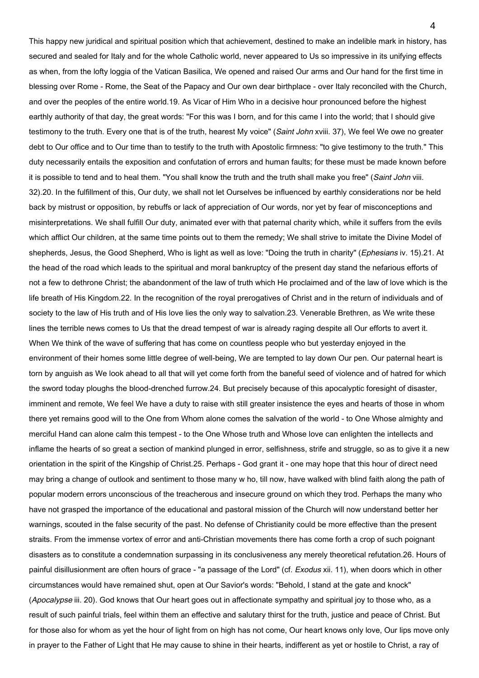This happy new juridical and spiritual position which that achievement, destined to make an indelible mark in history, has secured and sealed for Italy and for the whole Catholic world, never appeared to Us so impressive in its unifying effects as when, from the lofty loggia of the Vatican Basilica, We opened and raised Our arms and Our hand for the first time in blessing over Rome - Rome, the Seat of the Papacy and Our own dear birthplace - over Italy reconciled with the Church, and over the peoples of the entire world.19. As Vicar of Him Who in a decisive hour pronounced before the highest earthly authority of that day, the great words: "For this was I born, and for this came I into the world; that I should give testimony to the truth. Every one that is of the truth, hearest My voice" (Saint John xviii. 37), We feel We owe no greater debt to Our office and to Our time than to testify to the truth with Apostolic firmness: "to give testimony to the truth." This duty necessarily entails the exposition and confutation of errors and human faults; for these must be made known before it is possible to tend and to heal them. "You shall know the truth and the truth shall make you free" (Saint John viii. 32).20. In the fulfillment of this, Our duty, we shall not let Ourselves be influenced by earthly considerations nor be held back by mistrust or opposition, by rebuffs or lack of appreciation of Our words, nor yet by fear of misconceptions and misinterpretations. We shall fulfill Our duty, animated ever with that paternal charity which, while it suffers from the evils which afflict Our children, at the same time points out to them the remedy; We shall strive to imitate the Divine Model of shepherds, Jesus, the Good Shepherd, Who is light as well as love: "Doing the truth in charity" (Ephesians iv. 15).21. At the head of the road which leads to the spiritual and moral bankruptcy of the present day stand the nefarious efforts of not a few to dethrone Christ; the abandonment of the law of truth which He proclaimed and of the law of love which is the life breath of His Kingdom.22. In the recognition of the royal prerogatives of Christ and in the return of individuals and of society to the law of His truth and of His love lies the only way to salvation.23. Venerable Brethren, as We write these lines the terrible news comes to Us that the dread tempest of war is already raging despite all Our efforts to avert it. When We think of the wave of suffering that has come on countless people who but yesterday enjoyed in the environment of their homes some little degree of well-being, We are tempted to lay down Our pen. Our paternal heart is torn by anguish as We look ahead to all that will yet come forth from the baneful seed of violence and of hatred for which the sword today ploughs the blood-drenched furrow.24. But precisely because of this apocalyptic foresight of disaster, imminent and remote, We feel We have a duty to raise with still greater insistence the eyes and hearts of those in whom there yet remains good will to the One from Whom alone comes the salvation of the world - to One Whose almighty and merciful Hand can alone calm this tempest - to the One Whose truth and Whose love can enlighten the intellects and inflame the hearts of so great a section of mankind plunged in error, selfishness, strife and struggle, so as to give it a new orientation in the spirit of the Kingship of Christ.25. Perhaps - God grant it - one may hope that this hour of direct need may bring a change of outlook and sentiment to those many w ho, till now, have walked with blind faith along the path of popular modern errors unconscious of the treacherous and insecure ground on which they trod. Perhaps the many who have not grasped the importance of the educational and pastoral mission of the Church will now understand better her warnings, scouted in the false security of the past. No defense of Christianity could be more effective than the present straits. From the immense vortex of error and anti-Christian movements there has come forth a crop of such poignant disasters as to constitute a condemnation surpassing in its conclusiveness any merely theoretical refutation.26. Hours of painful disillusionment are often hours of grace - "a passage of the Lord" (cf. Exodus xii. 11), when doors which in other circumstances would have remained shut, open at Our Savior's words: "Behold, I stand at the gate and knock" (Apocalypse iii. 20). God knows that Our heart goes out in affectionate sympathy and spiritual joy to those who, as a result of such painful trials, feel within them an effective and salutary thirst for the truth, justice and peace of Christ. But for those also for whom as yet the hour of light from on high has not come, Our heart knows only love, Our lips move only in prayer to the Father of Light that He may cause to shine in their hearts, indifferent as yet or hostile to Christ, a ray of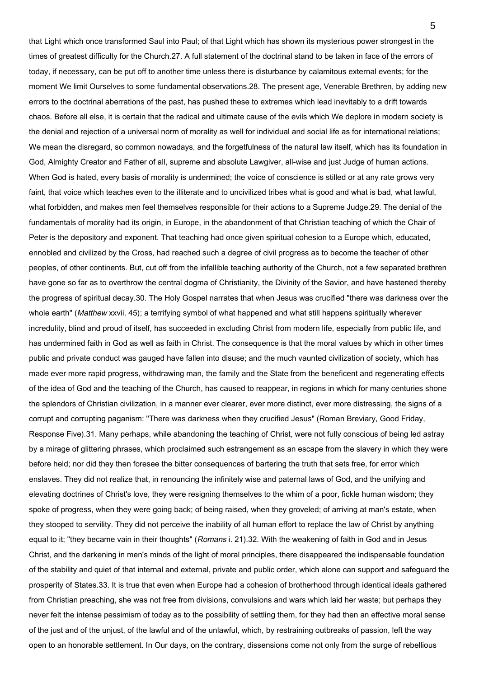that Light which once transformed Saul into Paul; of that Light which has shown its mysterious power strongest in the times of greatest difficulty for the Church.27. A full statement of the doctrinal stand to be taken in face of the errors of today, if necessary, can be put off to another time unless there is disturbance by calamitous external events; for the moment We limit Ourselves to some fundamental observations.28. The present age, Venerable Brethren, by adding new errors to the doctrinal aberrations of the past, has pushed these to extremes which lead inevitably to a drift towards chaos. Before all else, it is certain that the radical and ultimate cause of the evils which We deplore in modern society is the denial and rejection of a universal norm of morality as well for individual and social life as for international relations; We mean the disregard, so common nowadays, and the forgetfulness of the natural law itself, which has its foundation in God, Almighty Creator and Father of all, supreme and absolute Lawgiver, all-wise and just Judge of human actions. When God is hated, every basis of morality is undermined; the voice of conscience is stilled or at any rate grows very faint, that voice which teaches even to the illiterate and to uncivilized tribes what is good and what is bad, what lawful, what forbidden, and makes men feel themselves responsible for their actions to a Supreme Judge.29. The denial of the fundamentals of morality had its origin, in Europe, in the abandonment of that Christian teaching of which the Chair of Peter is the depository and exponent. That teaching had once given spiritual cohesion to a Europe which, educated, ennobled and civilized by the Cross, had reached such a degree of civil progress as to become the teacher of other peoples, of other continents. But, cut off from the infallible teaching authority of the Church, not a few separated brethren have gone so far as to overthrow the central dogma of Christianity, the Divinity of the Savior, and have hastened thereby the progress of spiritual decay.30. The Holy Gospel narrates that when Jesus was crucified "there was darkness over the whole earth" (Matthew xxvii. 45); a terrifying symbol of what happened and what still happens spiritually wherever incredulity, blind and proud of itself, has succeeded in excluding Christ from modern life, especially from public life, and has undermined faith in God as well as faith in Christ. The consequence is that the moral values by which in other times public and private conduct was gauged have fallen into disuse; and the much vaunted civilization of society, which has made ever more rapid progress, withdrawing man, the family and the State from the beneficent and regenerating effects of the idea of God and the teaching of the Church, has caused to reappear, in regions in which for many centuries shone the splendors of Christian civilization, in a manner ever clearer, ever more distinct, ever more distressing, the signs of a corrupt and corrupting paganism: "There was darkness when they crucified Jesus" (Roman Breviary, Good Friday, Response Five).31. Many perhaps, while abandoning the teaching of Christ, were not fully conscious of being led astray by a mirage of glittering phrases, which proclaimed such estrangement as an escape from the slavery in which they were before held; nor did they then foresee the bitter consequences of bartering the truth that sets free, for error which enslaves. They did not realize that, in renouncing the infinitely wise and paternal laws of God, and the unifying and elevating doctrines of Christ's love, they were resigning themselves to the whim of a poor, fickle human wisdom; they spoke of progress, when they were going back; of being raised, when they groveled; of arriving at man's estate, when they stooped to servility. They did not perceive the inability of all human effort to replace the law of Christ by anything equal to it; "they became vain in their thoughts" (Romans i. 21).32. With the weakening of faith in God and in Jesus Christ, and the darkening in men's minds of the light of moral principles, there disappeared the indispensable foundation of the stability and quiet of that internal and external, private and public order, which alone can support and safeguard the prosperity of States.33. It is true that even when Europe had a cohesion of brotherhood through identical ideals gathered from Christian preaching, she was not free from divisions, convulsions and wars which laid her waste; but perhaps they never felt the intense pessimism of today as to the possibility of settling them, for they had then an effective moral sense of the just and of the unjust, of the lawful and of the unlawful, which, by restraining outbreaks of passion, left the way open to an honorable settlement. In Our days, on the contrary, dissensions come not only from the surge of rebellious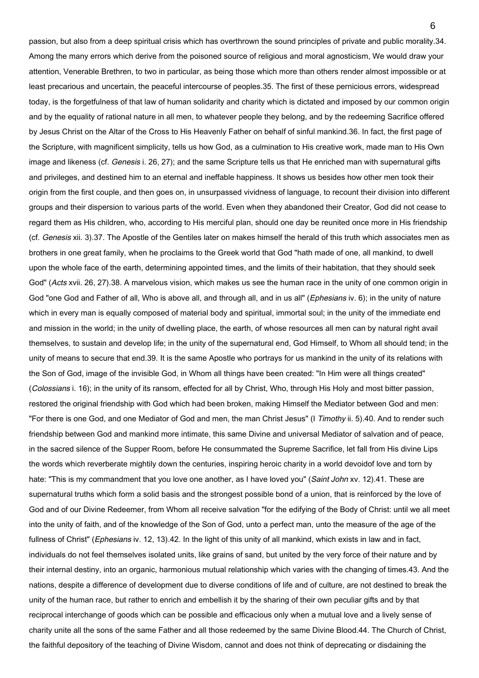passion, but also from a deep spiritual crisis which has overthrown the sound principles of private and public morality.34. Among the many errors which derive from the poisoned source of religious and moral agnosticism, We would draw your attention, Venerable Brethren, to two in particular, as being those which more than others render almost impossible or at least precarious and uncertain, the peaceful intercourse of peoples.35. The first of these pernicious errors, widespread today, is the forgetfulness of that law of human solidarity and charity which is dictated and imposed by our common origin and by the equality of rational nature in all men, to whatever people they belong, and by the redeeming Sacrifice offered by Jesus Christ on the Altar of the Cross to His Heavenly Father on behalf of sinful mankind.36. In fact, the first page of the Scripture, with magnificent simplicity, tells us how God, as a culmination to His creative work, made man to His Own image and likeness (cf. Genesis i. 26, 27); and the same Scripture tells us that He enriched man with supernatural gifts and privileges, and destined him to an eternal and ineffable happiness. It shows us besides how other men took their origin from the first couple, and then goes on, in unsurpassed vividness of language, to recount their division into different groups and their dispersion to various parts of the world. Even when they abandoned their Creator, God did not cease to regard them as His children, who, according to His merciful plan, should one day be reunited once more in His friendship (cf. Genesis xii. 3).37. The Apostle of the Gentiles later on makes himself the herald of this truth which associates men as brothers in one great family, when he proclaims to the Greek world that God "hath made of one, all mankind, to dwell upon the whole face of the earth, determining appointed times, and the limits of their habitation, that they should seek God" (Acts xvii. 26, 27).38. A marvelous vision, which makes us see the human race in the unity of one common origin in God "one God and Father of all, Who is above all, and through all, and in us all" (*Ephesians* iv. 6); in the unity of nature which in every man is equally composed of material body and spiritual, immortal soul; in the unity of the immediate end and mission in the world; in the unity of dwelling place, the earth, of whose resources all men can by natural right avail themselves, to sustain and develop life; in the unity of the supernatural end, God Himself, to Whom all should tend; in the unity of means to secure that end.39. It is the same Apostle who portrays for us mankind in the unity of its relations with the Son of God, image of the invisible God, in Whom all things have been created: "In Him were all things created" (Colossians i. 16); in the unity of its ransom, effected for all by Christ, Who, through His Holy and most bitter passion, restored the original friendship with God which had been broken, making Himself the Mediator between God and men: "For there is one God, and one Mediator of God and men, the man Christ Jesus" (I Timothy ii. 5).40. And to render such friendship between God and mankind more intimate, this same Divine and universal Mediator of salvation and of peace, in the sacred silence of the Supper Room, before He consummated the Supreme Sacrifice, let fall from His divine Lips the words which reverberate mightily down the centuries, inspiring heroic charity in a world devoidof love and torn by hate: "This is my commandment that you love one another, as I have loved you" (Saint John xv. 12).41. These are supernatural truths which form a solid basis and the strongest possible bond of a union, that is reinforced by the love of God and of our Divine Redeemer, from Whom all receive salvation "for the edifying of the Body of Christ: until we all meet into the unity of faith, and of the knowledge of the Son of God, unto a perfect man, unto the measure of the age of the fullness of Christ" (*Ephesians* iv. 12, 13).42. In the light of this unity of all mankind, which exists in law and in fact, individuals do not feel themselves isolated units, like grains of sand, but united by the very force of their nature and by their internal destiny, into an organic, harmonious mutual relationship which varies with the changing of times.43. And the nations, despite a difference of development due to diverse conditions of life and of culture, are not destined to break the unity of the human race, but rather to enrich and embellish it by the sharing of their own peculiar gifts and by that reciprocal interchange of goods which can be possible and efficacious only when a mutual love and a lively sense of charity unite all the sons of the same Father and all those redeemed by the same Divine Blood.44. The Church of Christ, the faithful depository of the teaching of Divine Wisdom, cannot and does not think of deprecating or disdaining the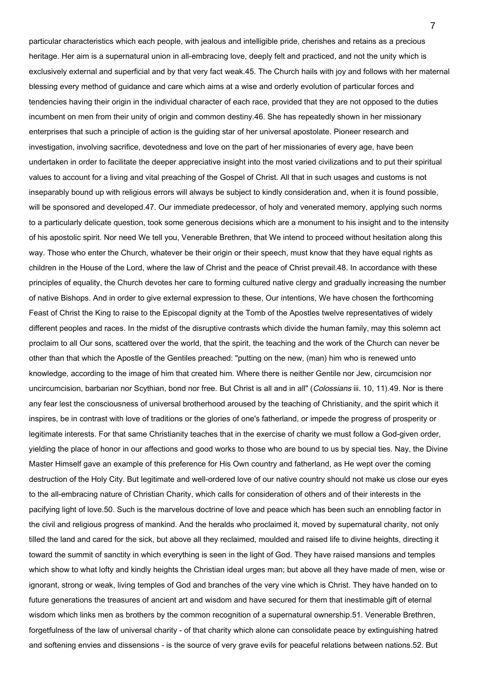particular characteristics which each people, with jealous and intelligible pride, cherishes and retains as a precious heritage. Her aim is a supernatural union in all-embracing love, deeply felt and practiced, and not the unity which is exclusively external and superficial and by that very fact weak.45. The Church hails with joy and follows with her maternal blessing every method of guidance and care which aims at a wise and orderly evolution of particular forces and tendencies having their origin in the individual character of each race, provided that they are not opposed to the duties incumbent on men from their unity of origin and common destiny.46. She has repeatedly shown in her missionary enterprises that such a principle of action is the guiding star of her universal apostolate. Pioneer research and investigation, involving sacrifice, devotedness and love on the part of her missionaries of every age, have been undertaken in order to facilitate the deeper appreciative insight into the most varied civilizations and to put their spiritual values to account for a living and vital preaching of the Gospel of Christ. All that in such usages and customs is not inseparably bound up with religious errors will always be subject to kindly consideration and, when it is found possible, will be sponsored and developed.47. Our immediate predecessor, of holy and venerated memory, applying such norms to a particularly delicate question, took some generous decisions which are a monument to his insight and to the intensity of his apostolic spirit. Nor need We tell you, Venerable Brethren, that We intend to proceed without hesitation along this way. Those who enter the Church, whatever be their origin or their speech, must know that they have equal rights as children in the House of the Lord, where the law of Christ and the peace of Christ prevail.48. In accordance with these principles of equality, the Church devotes her care to forming cultured native clergy and gradually increasing the number of native Bishops. And in order to give external expression to these, Our intentions, We have chosen the forthcoming Feast of Christ the King to raise to the Episcopal dignity at the Tomb of the Apostles twelve representatives of widely different peoples and races. In the midst of the disruptive contrasts which divide the human family, may this solemn act proclaim to all Our sons, scattered over the world, that the spirit, the teaching and the work of the Church can never be other than that which the Apostle of the Gentiles preached: "putting on the new, (man) him who is renewed unto knowledge, according to the image of him that created him. Where there is neither Gentile nor Jew, circumcision nor uncircumcision, barbarian nor Scythian, bond nor free. But Christ is all and in all" (Colossians iii. 10, 11).49. Nor is there any fear lest the consciousness of universal brotherhood aroused by the teaching of Christianity, and the spirit which it inspires, be in contrast with love of traditions or the glories of one's fatherland, or impede the progress of prosperity or legitimate interests. For that same Christianity teaches that in the exercise of charity we must follow a God-given order, yielding the place of honor in our affections and good works to those who are bound to us by special ties. Nay, the Divine Master Himself gave an example of this preference for His Own country and fatherland, as He wept over the coming destruction of the Holy City. But legitimate and well-ordered love of our native country should not make us close our eyes to the all-embracing nature of Christian Charity, which calls for consideration of others and of their interests in the pacifying light of love.50. Such is the marvelous doctrine of love and peace which has been such an ennobling factor in the civil and religious progress of mankind. And the heralds who proclaimed it, moved by supernatural charity, not only tilled the land and cared for the sick, but above all they reclaimed, moulded and raised life to divine heights, directing it toward the summit of sanctity in which everything is seen in the light of God. They have raised mansions and temples which show to what lofty and kindly heights the Christian ideal urges man; but above all they have made of men, wise or ignorant, strong or weak, living temples of God and branches of the very vine which is Christ. They have handed on to future generations the treasures of ancient art and wisdom and have secured for them that inestimable gift of eternal wisdom which links men as brothers by the common recognition of a supernatural ownership.51. Venerable Brethren, forgetfulness of the law of universal charity - of that charity which alone can consolidate peace by extinguishing hatred and softening envies and dissensions - is the source of very grave evils for peaceful relations between nations.52. But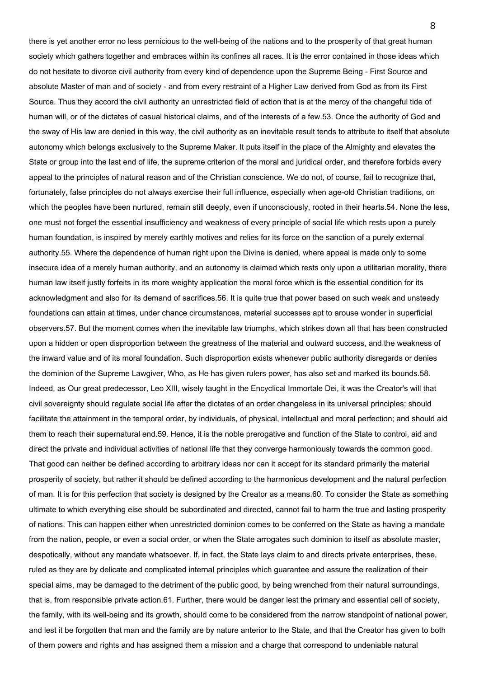there is yet another error no less pernicious to the well-being of the nations and to the prosperity of that great human society which gathers together and embraces within its confines all races. It is the error contained in those ideas which do not hesitate to divorce civil authority from every kind of dependence upon the Supreme Being - First Source and absolute Master of man and of society - and from every restraint of a Higher Law derived from God as from its First Source. Thus they accord the civil authority an unrestricted field of action that is at the mercy of the changeful tide of human will, or of the dictates of casual historical claims, and of the interests of a few.53. Once the authority of God and the sway of His law are denied in this way, the civil authority as an inevitable result tends to attribute to itself that absolute autonomy which belongs exclusively to the Supreme Maker. It puts itself in the place of the Almighty and elevates the State or group into the last end of life, the supreme criterion of the moral and juridical order, and therefore forbids every appeal to the principles of natural reason and of the Christian conscience. We do not, of course, fail to recognize that, fortunately, false principles do not always exercise their full influence, especially when age-old Christian traditions, on which the peoples have been nurtured, remain still deeply, even if unconsciously, rooted in their hearts.54. None the less, one must not forget the essential insufficiency and weakness of every principle of social life which rests upon a purely human foundation, is inspired by merely earthly motives and relies for its force on the sanction of a purely external authority.55. Where the dependence of human right upon the Divine is denied, where appeal is made only to some insecure idea of a merely human authority, and an autonomy is claimed which rests only upon a utilitarian morality, there human law itself justly forfeits in its more weighty application the moral force which is the essential condition for its acknowledgment and also for its demand of sacrifices.56. It is quite true that power based on such weak and unsteady foundations can attain at times, under chance circumstances, material successes apt to arouse wonder in superficial observers.57. But the moment comes when the inevitable law triumphs, which strikes down all that has been constructed upon a hidden or open disproportion between the greatness of the material and outward success, and the weakness of the inward value and of its moral foundation. Such disproportion exists whenever public authority disregards or denies the dominion of the Supreme Lawgiver, Who, as He has given rulers power, has also set and marked its bounds.58. Indeed, as Our great predecessor, Leo XIII, wisely taught in the Encyclical Immortale Dei, it was the Creator's will that civil sovereignty should regulate social life after the dictates of an order changeless in its universal principles; should facilitate the attainment in the temporal order, by individuals, of physical, intellectual and moral perfection; and should aid them to reach their supernatural end.59. Hence, it is the noble prerogative and function of the State to control, aid and direct the private and individual activities of national life that they converge harmoniously towards the common good. That good can neither be defined according to arbitrary ideas nor can it accept for its standard primarily the material prosperity of society, but rather it should be defined according to the harmonious development and the natural perfection of man. It is for this perfection that society is designed by the Creator as a means.60. To consider the State as something ultimate to which everything else should be subordinated and directed, cannot fail to harm the true and lasting prosperity of nations. This can happen either when unrestricted dominion comes to be conferred on the State as having a mandate from the nation, people, or even a social order, or when the State arrogates such dominion to itself as absolute master, despotically, without any mandate whatsoever. If, in fact, the State lays claim to and directs private enterprises, these, ruled as they are by delicate and complicated internal principles which guarantee and assure the realization of their special aims, may be damaged to the detriment of the public good, by being wrenched from their natural surroundings, that is, from responsible private action.61. Further, there would be danger lest the primary and essential cell of society, the family, with its well-being and its growth, should come to be considered from the narrow standpoint of national power, and lest it be forgotten that man and the family are by nature anterior to the State, and that the Creator has given to both of them powers and rights and has assigned them a mission and a charge that correspond to undeniable natural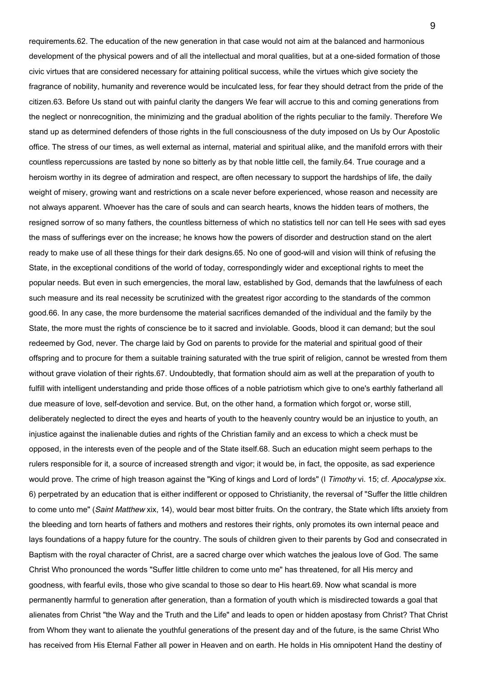requirements.62. The education of the new generation in that case would not aim at the balanced and harmonious development of the physical powers and of all the intellectual and moral qualities, but at a one-sided formation of those civic virtues that are considered necessary for attaining political success, while the virtues which give society the fragrance of nobility, humanity and reverence would be inculcated less, for fear they should detract from the pride of the citizen.63. Before Us stand out with painful clarity the dangers We fear will accrue to this and coming generations from the neglect or nonrecognition, the minimizing and the gradual abolition of the rights peculiar to the family. Therefore We stand up as determined defenders of those rights in the full consciousness of the duty imposed on Us by Our Apostolic office. The stress of our times, as well external as internal, material and spiritual alike, and the manifold errors with their countless repercussions are tasted by none so bitterly as by that noble little cell, the family.64. True courage and a heroism worthy in its degree of admiration and respect, are often necessary to support the hardships of life, the daily weight of misery, growing want and restrictions on a scale never before experienced, whose reason and necessity are not always apparent. Whoever has the care of souls and can search hearts, knows the hidden tears of mothers, the resigned sorrow of so many fathers, the countless bitterness of which no statistics tell nor can tell He sees with sad eyes the mass of sufferings ever on the increase; he knows how the powers of disorder and destruction stand on the alert ready to make use of all these things for their dark designs.65. No one of good-will and vision will think of refusing the State, in the exceptional conditions of the world of today, correspondingly wider and exceptional rights to meet the popular needs. But even in such emergencies, the moral law, established by God, demands that the lawfulness of each such measure and its real necessity be scrutinized with the greatest rigor according to the standards of the common good.66. In any case, the more burdensome the material sacrifices demanded of the individual and the family by the State, the more must the rights of conscience be to it sacred and inviolable. Goods, blood it can demand; but the soul redeemed by God, never. The charge laid by God on parents to provide for the material and spiritual good of their offspring and to procure for them a suitable training saturated with the true spirit of religion, cannot be wrested from them without grave violation of their rights.67. Undoubtedly, that formation should aim as well at the preparation of youth to fulfill with intelligent understanding and pride those offices of a noble patriotism which give to one's earthly fatherland all due measure of love, self-devotion and service. But, on the other hand, a formation which forgot or, worse still, deliberately neglected to direct the eyes and hearts of youth to the heavenly country would be an injustice to youth, an injustice against the inalienable duties and rights of the Christian family and an excess to which a check must be opposed, in the interests even of the people and of the State itself.68. Such an education might seem perhaps to the rulers responsible for it, a source of increased strength and vigor; it would be, in fact, the opposite, as sad experience would prove. The crime of high treason against the "King of kings and Lord of lords" (I Timothy vi. 15; cf. Apocalypse xix. 6) perpetrated by an education that is either indifferent or opposed to Christianity, the reversal of "Suffer the little children to come unto me" (Saint Matthew xix, 14), would bear most bitter fruits. On the contrary, the State which lifts anxiety from the bleeding and torn hearts of fathers and mothers and restores their rights, only promotes its own internal peace and lays foundations of a happy future for the country. The souls of children given to their parents by God and consecrated in Baptism with the royal character of Christ, are a sacred charge over which watches the jealous love of God. The same Christ Who pronounced the words "Suffer little children to come unto me" has threatened, for all His mercy and goodness, with fearful evils, those who give scandal to those so dear to His heart.69. Now what scandal is more permanently harmful to generation after generation, than a formation of youth which is misdirected towards a goal that alienates from Christ "the Way and the Truth and the Life" and leads to open or hidden apostasy from Christ? That Christ from Whom they want to alienate the youthful generations of the present day and of the future, is the same Christ Who has received from His Eternal Father all power in Heaven and on earth. He holds in His omnipotent Hand the destiny of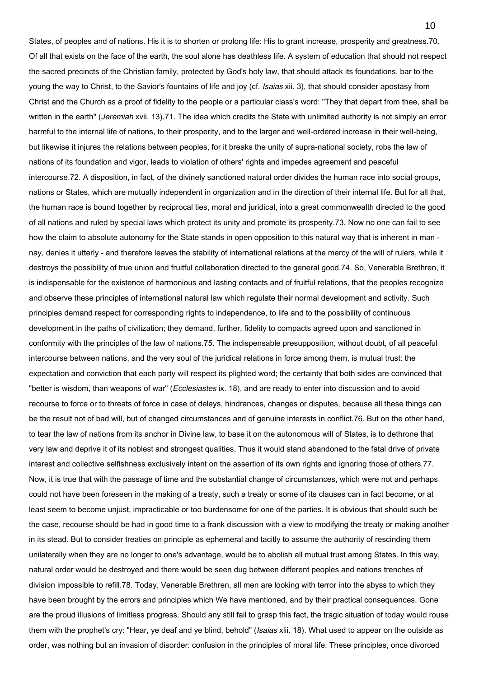States, of peoples and of nations. His it is to shorten or prolong life: His to grant increase, prosperity and greatness.70. Of all that exists on the face of the earth, the soul alone has deathless life. A system of education that should not respect the sacred precincts of the Christian family, protected by God's holy law, that should attack its foundations, bar to the young the way to Christ, to the Savior's fountains of life and joy (cf. Isaias xii. 3), that should consider apostasy from Christ and the Church as a proof of fidelity to the people or a particular class's word: "They that depart from thee, shall be written in the earth" (Jeremiah xvii. 13).71. The idea which credits the State with unlimited authority is not simply an error harmful to the internal life of nations, to their prosperity, and to the larger and well-ordered increase in their well-being, but likewise it injures the relations between peoples, for it breaks the unity of supra-national society, robs the law of nations of its foundation and vigor, leads to violation of others' rights and impedes agreement and peaceful intercourse.72. A disposition, in fact, of the divinely sanctioned natural order divides the human race into social groups, nations or States, which are mutually independent in organization and in the direction of their internal life. But for all that, the human race is bound together by reciprocal ties, moral and juridical, into a great commonwealth directed to the good of all nations and ruled by special laws which protect its unity and promote its prosperity.73. Now no one can fail to see how the claim to absolute autonomy for the State stands in open opposition to this natural way that is inherent in man nay, denies it utterly - and therefore leaves the stability of international relations at the mercy of the will of rulers, while it destroys the possibility of true union and fruitful collaboration directed to the general good.74. So, Venerable Brethren, it is indispensable for the existence of harmonious and lasting contacts and of fruitful relations, that the peoples recognize and observe these principles of international natural law which regulate their normal development and activity. Such principles demand respect for corresponding rights to independence, to life and to the possibility of continuous development in the paths of civilization; they demand, further, fidelity to compacts agreed upon and sanctioned in conformity with the principles of the law of nations.75. The indispensable presupposition, without doubt, of all peaceful intercourse between nations, and the very soul of the juridical relations in force among them, is mutual trust: the expectation and conviction that each party will respect its plighted word; the certainty that both sides are convinced that "better is wisdom, than weapons of war" (Ecclesiastes ix. 18), and are ready to enter into discussion and to avoid recourse to force or to threats of force in case of delays, hindrances, changes or disputes, because all these things can be the result not of bad will, but of changed circumstances and of genuine interests in conflict.76. But on the other hand, to tear the law of nations from its anchor in Divine law, to base it on the autonomous will of States, is to dethrone that very law and deprive it of its noblest and strongest qualities. Thus it would stand abandoned to the fatal drive of private interest and collective selfishness exclusively intent on the assertion of its own rights and ignoring those of others.77. Now, it is true that with the passage of time and the substantial change of circumstances, which were not and perhaps could not have been foreseen in the making of a treaty, such a treaty or some of its clauses can in fact become, or at least seem to become unjust, impracticable or too burdensome for one of the parties. It is obvious that should such be the case, recourse should be had in good time to a frank discussion with a view to modifying the treaty or making another in its stead. But to consider treaties on principle as ephemeral and tacitly to assume the authority of rescinding them unilaterally when they are no longer to one's advantage, would be to abolish all mutual trust among States. In this way, natural order would be destroyed and there would be seen dug between different peoples and nations trenches of division impossible to refill.78. Today, Venerable Brethren, all men are looking with terror into the abyss to which they have been brought by the errors and principles which We have mentioned, and by their practical consequences. Gone are the proud illusions of limitless progress. Should any still fail to grasp this fact, the tragic situation of today would rouse them with the prophet's cry: "Hear, ye deaf and ye blind, behold" (Isaias xlii. 18). What used to appear on the outside as order, was nothing but an invasion of disorder: confusion in the principles of moral life. These principles, once divorced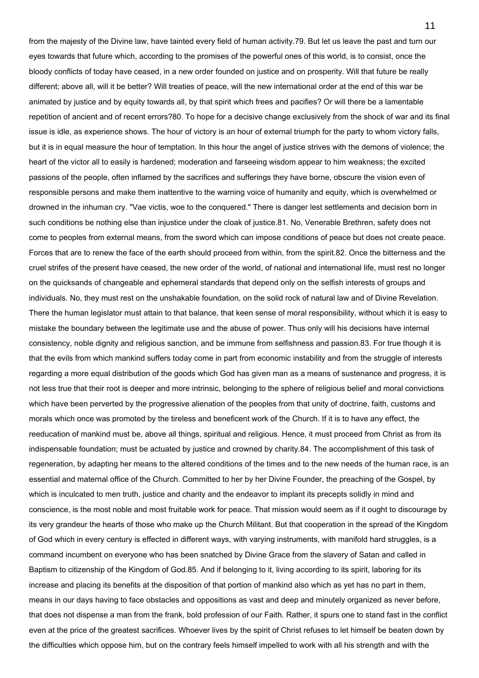from the majesty of the Divine law, have tainted every field of human activity.79. But let us leave the past and turn our eyes towards that future which, according to the promises of the powerful ones of this world, is to consist, once the bloody conflicts of today have ceased, in a new order founded on justice and on prosperity. Will that future be really different; above all, will it be better? Will treaties of peace, will the new international order at the end of this war be animated by justice and by equity towards all, by that spirit which frees and pacifies? Or will there be a lamentable repetition of ancient and of recent errors?80. To hope for a decisive change exclusively from the shock of war and its final issue is idle, as experience shows. The hour of victory is an hour of external triumph for the party to whom victory falls, but it is in equal measure the hour of temptation. In this hour the angel of justice strives with the demons of violence; the heart of the victor all to easily is hardened; moderation and farseeing wisdom appear to him weakness; the excited passions of the people, often inflamed by the sacrifices and sufferings they have borne, obscure the vision even of responsible persons and make them inattentive to the warning voice of humanity and equity, which is overwhelmed or drowned in the inhuman cry. "Vae victis, woe to the conquered." There is danger lest settlements and decision born in such conditions be nothing else than injustice under the cloak of justice.81. No, Venerable Brethren, safety does not come to peoples from external means, from the sword which can impose conditions of peace but does not create peace. Forces that are to renew the face of the earth should proceed from within, from the spirit.82. Once the bitterness and the cruel strifes of the present have ceased, the new order of the world, of national and international life, must rest no longer on the quicksands of changeable and ephemeral standards that depend only on the selfish interests of groups and individuals. No, they must rest on the unshakable foundation, on the solid rock of natural law and of Divine Revelation. There the human legislator must attain to that balance, that keen sense of moral responsibility, without which it is easy to mistake the boundary between the legitimate use and the abuse of power. Thus only will his decisions have internal consistency, noble dignity and religious sanction, and be immune from selfishness and passion.83. For true though it is that the evils from which mankind suffers today come in part from economic instability and from the struggle of interests regarding a more equal distribution of the goods which God has given man as a means of sustenance and progress, it is not less true that their root is deeper and more intrinsic, belonging to the sphere of religious belief and moral convictions which have been perverted by the progressive alienation of the peoples from that unity of doctrine, faith, customs and morals which once was promoted by the tireless and beneficent work of the Church. If it is to have any effect, the reeducation of mankind must be, above all things, spiritual and religious. Hence, it must proceed from Christ as from its indispensable foundation; must be actuated by justice and crowned by charity.84. The accomplishment of this task of regeneration, by adapting her means to the altered conditions of the times and to the new needs of the human race, is an essential and maternal office of the Church. Committed to her by her Divine Founder, the preaching of the Gospel, by which is inculcated to men truth, justice and charity and the endeavor to implant its precepts solidly in mind and conscience, is the most noble and most fruitable work for peace. That mission would seem as if it ought to discourage by its very grandeur the hearts of those who make up the Church Militant. But that cooperation in the spread of the Kingdom of God which in every century is effected in different ways, with varying instruments, with manifold hard struggles, is a command incumbent on everyone who has been snatched by Divine Grace from the slavery of Satan and called in Baptism to citizenship of the Kingdom of God.85. And if belonging to it, living according to its spirit, laboring for its increase and placing its benefits at the disposition of that portion of mankind also which as yet has no part in them, means in our days having to face obstacles and oppositions as vast and deep and minutely organized as never before, that does not dispense a man from the frank, bold profession of our Faith. Rather, it spurs one to stand fast in the conflict even at the price of the greatest sacrifices. Whoever lives by the spirit of Christ refuses to let himself be beaten down by the difficulties which oppose him, but on the contrary feels himself impelled to work with all his strength and with the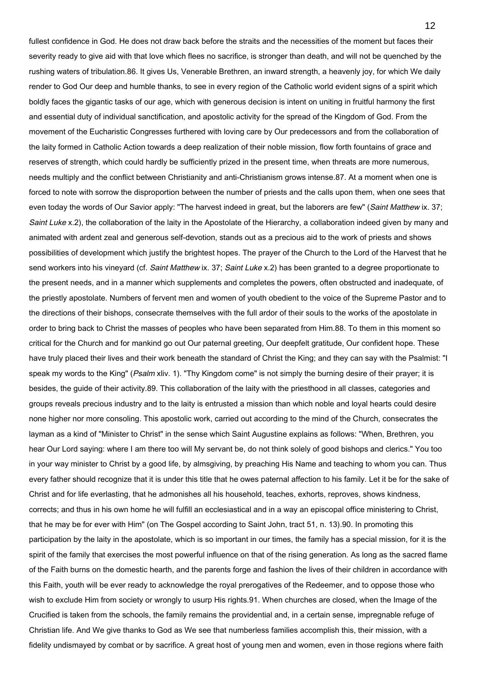fullest confidence in God. He does not draw back before the straits and the necessities of the moment but faces their severity ready to give aid with that love which flees no sacrifice, is stronger than death, and will not be quenched by the rushing waters of tribulation.86. It gives Us, Venerable Brethren, an inward strength, a heavenly joy, for which We daily render to God Our deep and humble thanks, to see in every region of the Catholic world evident signs of a spirit which boldly faces the gigantic tasks of our age, which with generous decision is intent on uniting in fruitful harmony the first and essential duty of individual sanctification, and apostolic activity for the spread of the Kingdom of God. From the movement of the Eucharistic Congresses furthered with loving care by Our predecessors and from the collaboration of the laity formed in Catholic Action towards a deep realization of their noble mission, flow forth fountains of grace and reserves of strength, which could hardly be sufficiently prized in the present time, when threats are more numerous, needs multiply and the conflict between Christianity and anti-Christianism grows intense.87. At a moment when one is forced to note with sorrow the disproportion between the number of priests and the calls upon them, when one sees that even today the words of Our Savior apply: "The harvest indeed in great, but the laborers are few" (Saint Matthew ix. 37; Saint Luke x.2), the collaboration of the laity in the Apostolate of the Hierarchy, a collaboration indeed given by many and animated with ardent zeal and generous self-devotion, stands out as a precious aid to the work of priests and shows possibilities of development which justify the brightest hopes. The prayer of the Church to the Lord of the Harvest that he send workers into his vineyard (cf. Saint Matthew ix. 37; Saint Luke x.2) has been granted to a degree proportionate to the present needs, and in a manner which supplements and completes the powers, often obstructed and inadequate, of the priestly apostolate. Numbers of fervent men and women of youth obedient to the voice of the Supreme Pastor and to the directions of their bishops, consecrate themselves with the full ardor of their souls to the works of the apostolate in order to bring back to Christ the masses of peoples who have been separated from Him.88. To them in this moment so critical for the Church and for mankind go out Our paternal greeting, Our deepfelt gratitude, Our confident hope. These have truly placed their lives and their work beneath the standard of Christ the King; and they can say with the Psalmist: "I speak my words to the King" (Psalm xliv. 1). "Thy Kingdom come" is not simply the burning desire of their prayer; it is besides, the guide of their activity.89. This collaboration of the laity with the priesthood in all classes, categories and groups reveals precious industry and to the laity is entrusted a mission than which noble and loyal hearts could desire none higher nor more consoling. This apostolic work, carried out according to the mind of the Church, consecrates the layman as a kind of "Minister to Christ" in the sense which Saint Augustine explains as follows: "When, Brethren, you hear Our Lord saying: where I am there too will My servant be, do not think solely of good bishops and clerics." You too in your way minister to Christ by a good life, by almsgiving, by preaching His Name and teaching to whom you can. Thus every father should recognize that it is under this title that he owes paternal affection to his family. Let it be for the sake of Christ and for life everlasting, that he admonishes all his household, teaches, exhorts, reproves, shows kindness, corrects; and thus in his own home he will fulfill an ecclesiastical and in a way an episcopal office ministering to Christ, that he may be for ever with Him" (on The Gospel according to Saint John, tract 51, n. 13).90. In promoting this participation by the laity in the apostolate, which is so important in our times, the family has a special mission, for it is the spirit of the family that exercises the most powerful influence on that of the rising generation. As long as the sacred flame of the Faith burns on the domestic hearth, and the parents forge and fashion the lives of their children in accordance with this Faith, youth will be ever ready to acknowledge the royal prerogatives of the Redeemer, and to oppose those who wish to exclude Him from society or wrongly to usurp His rights.91. When churches are closed, when the Image of the Crucified is taken from the schools, the family remains the providential and, in a certain sense, impregnable refuge of Christian life. And We give thanks to God as We see that numberless families accomplish this, their mission, with a fidelity undismayed by combat or by sacrifice. A great host of young men and women, even in those regions where faith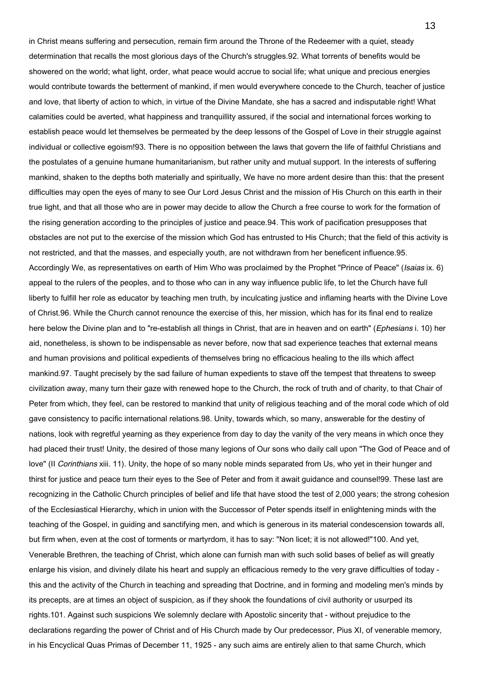in Christ means suffering and persecution, remain firm around the Throne of the Redeemer with a quiet, steady determination that recalls the most glorious days of the Church's struggles.92. What torrents of benefits would be showered on the world; what light, order, what peace would accrue to social life; what unique and precious energies would contribute towards the betterment of mankind, if men would everywhere concede to the Church, teacher of justice and love, that liberty of action to which, in virtue of the Divine Mandate, she has a sacred and indisputable right! What calamities could be averted, what happiness and tranquillity assured, if the social and international forces working to establish peace would let themselves be permeated by the deep lessons of the Gospel of Love in their struggle against individual or collective egoism!93. There is no opposition between the laws that govern the life of faithful Christians and the postulates of a genuine humane humanitarianism, but rather unity and mutual support. In the interests of suffering mankind, shaken to the depths both materially and spiritually, We have no more ardent desire than this: that the present difficulties may open the eyes of many to see Our Lord Jesus Christ and the mission of His Church on this earth in their true light, and that all those who are in power may decide to allow the Church a free course to work for the formation of the rising generation according to the principles of justice and peace.94. This work of pacification presupposes that obstacles are not put to the exercise of the mission which God has entrusted to His Church; that the field of this activity is not restricted, and that the masses, and especially youth, are not withdrawn from her beneficent influence.95. Accordingly We, as representatives on earth of Him Who was proclaimed by the Prophet "Prince of Peace" (Isaias ix. 6) appeal to the rulers of the peoples, and to those who can in any way influence public life, to let the Church have full liberty to fulfill her role as educator by teaching men truth, by inculcating justice and inflaming hearts with the Divine Love of Christ.96. While the Church cannot renounce the exercise of this, her mission, which has for its final end to realize here below the Divine plan and to "re-establish all things in Christ, that are in heaven and on earth" (*Ephesians* i. 10) her aid, nonetheless, is shown to be indispensable as never before, now that sad experience teaches that external means and human provisions and political expedients of themselves bring no efficacious healing to the ills which affect mankind.97. Taught precisely by the sad failure of human expedients to stave off the tempest that threatens to sweep civilization away, many turn their gaze with renewed hope to the Church, the rock of truth and of charity, to that Chair of Peter from which, they feel, can be restored to mankind that unity of religious teaching and of the moral code which of old gave consistency to pacific international relations.98. Unity, towards which, so many, answerable for the destiny of nations, look with regretful yearning as they experience from day to day the vanity of the very means in which once they had placed their trust! Unity, the desired of those many legions of Our sons who daily call upon "The God of Peace and of love" (II Corinthians xiii. 11). Unity, the hope of so many noble minds separated from Us, who yet in their hunger and thirst for justice and peace turn their eyes to the See of Peter and from it await guidance and counsel!99. These last are recognizing in the Catholic Church principles of belief and life that have stood the test of 2,000 years; the strong cohesion of the Ecclesiastical Hierarchy, which in union with the Successor of Peter spends itself in enlightening minds with the teaching of the Gospel, in guiding and sanctifying men, and which is generous in its material condescension towards all, but firm when, even at the cost of torments or martyrdom, it has to say: "Non licet; it is not allowed!"100. And yet, Venerable Brethren, the teaching of Christ, which alone can furnish man with such solid bases of belief as will greatly enlarge his vision, and divinely dilate his heart and supply an efficacious remedy to the very grave difficulties of today this and the activity of the Church in teaching and spreading that Doctrine, and in forming and modeling men's minds by its precepts, are at times an object of suspicion, as if they shook the foundations of civil authority or usurped its rights.101. Against such suspicions We solemnly declare with Apostolic sincerity that - without prejudice to the declarations regarding the power of Christ and of His Church made by Our predecessor, Pius XI, of venerable memory, in his Encyclical Quas Primas of December 11, 1925 - any such aims are entirely alien to that same Church, which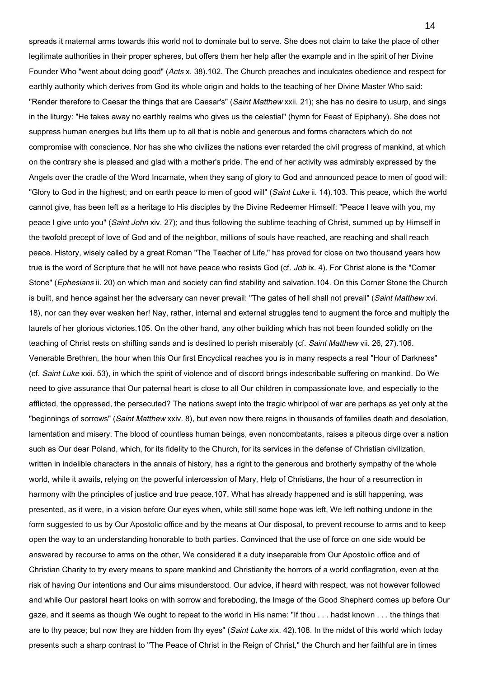spreads it maternal arms towards this world not to dominate but to serve. She does not claim to take the place of other legitimate authorities in their proper spheres, but offers them her help after the example and in the spirit of her Divine Founder Who "went about doing good" (Acts x. 38).102. The Church preaches and inculcates obedience and respect for earthly authority which derives from God its whole origin and holds to the teaching of her Divine Master Who said: "Render therefore to Caesar the things that are Caesar's" (Saint Matthew xxii. 21); she has no desire to usurp, and sings in the liturgy: "He takes away no earthly realms who gives us the celestial" (hymn for Feast of Epiphany). She does not suppress human energies but lifts them up to all that is noble and generous and forms characters which do not compromise with conscience. Nor has she who civilizes the nations ever retarded the civil progress of mankind, at which on the contrary she is pleased and glad with a mother's pride. The end of her activity was admirably expressed by the Angels over the cradle of the Word Incarnate, when they sang of glory to God and announced peace to men of good will: "Glory to God in the highest; and on earth peace to men of good will" (Saint Luke ii. 14).103. This peace, which the world cannot give, has been left as a heritage to His disciples by the Divine Redeemer Himself: "Peace I leave with you, my peace I give unto you" (Saint John xiv. 27); and thus following the sublime teaching of Christ, summed up by Himself in the twofold precept of love of God and of the neighbor, millions of souls have reached, are reaching and shall reach peace. History, wisely called by a great Roman "The Teacher of Life," has proved for close on two thousand years how true is the word of Scripture that he will not have peace who resists God (cf. Job ix. 4). For Christ alone is the "Corner Stone" (Ephesians ii. 20) on which man and society can find stability and salvation.104. On this Corner Stone the Church is built, and hence against her the adversary can never prevail: "The gates of hell shall not prevail" (Saint Matthew xvi. 18), nor can they ever weaken her! Nay, rather, internal and external struggles tend to augment the force and multiply the laurels of her glorious victories.105. On the other hand, any other building which has not been founded solidly on the teaching of Christ rests on shifting sands and is destined to perish miserably (cf. Saint Matthew vii. 26, 27).106. Venerable Brethren, the hour when this Our first Encyclical reaches you is in many respects a real "Hour of Darkness" (cf. Saint Luke xxii. 53), in which the spirit of violence and of discord brings indescribable suffering on mankind. Do We need to give assurance that Our paternal heart is close to all Our children in compassionate love, and especially to the afflicted, the oppressed, the persecuted? The nations swept into the tragic whirlpool of war are perhaps as yet only at the "beginnings of sorrows" (Saint Matthew xxiv. 8), but even now there reigns in thousands of families death and desolation, lamentation and misery. The blood of countless human beings, even noncombatants, raises a piteous dirge over a nation such as Our dear Poland, which, for its fidelity to the Church, for its services in the defense of Christian civilization, written in indelible characters in the annals of history, has a right to the generous and brotherly sympathy of the whole world, while it awaits, relying on the powerful intercession of Mary, Help of Christians, the hour of a resurrection in harmony with the principles of justice and true peace.107. What has already happened and is still happening, was presented, as it were, in a vision before Our eyes when, while still some hope was left, We left nothing undone in the form suggested to us by Our Apostolic office and by the means at Our disposal, to prevent recourse to arms and to keep open the way to an understanding honorable to both parties. Convinced that the use of force on one side would be answered by recourse to arms on the other, We considered it a duty inseparable from Our Apostolic office and of Christian Charity to try every means to spare mankind and Christianity the horrors of a world conflagration, even at the risk of having Our intentions and Our aims misunderstood. Our advice, if heard with respect, was not however followed and while Our pastoral heart looks on with sorrow and foreboding, the Image of the Good Shepherd comes up before Our gaze, and it seems as though We ought to repeat to the world in His name: "If thou . . . hadst known . . . the things that are to thy peace; but now they are hidden from thy eyes" (Saint Luke xix. 42).108. In the midst of this world which today presents such a sharp contrast to "The Peace of Christ in the Reign of Christ," the Church and her faithful are in times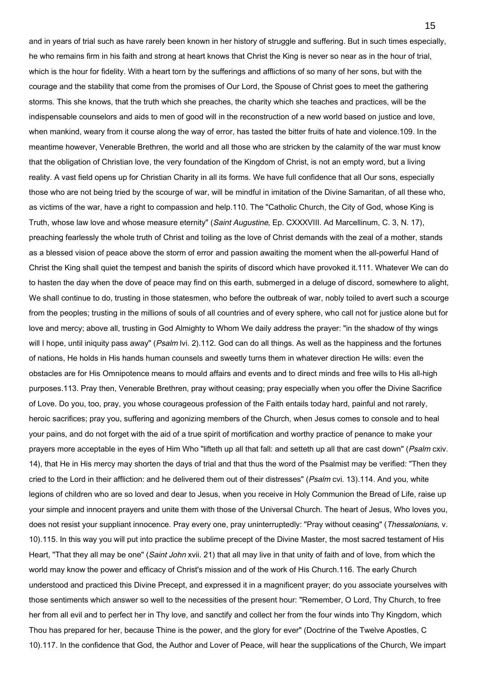and in years of trial such as have rarely been known in her history of struggle and suffering. But in such times especially, he who remains firm in his faith and strong at heart knows that Christ the King is never so near as in the hour of trial, which is the hour for fidelity. With a heart torn by the sufferings and afflictions of so many of her sons, but with the courage and the stability that come from the promises of Our Lord, the Spouse of Christ goes to meet the gathering storms. This she knows, that the truth which she preaches, the charity which she teaches and practices, will be the indispensable counselors and aids to men of good will in the reconstruction of a new world based on justice and love, when mankind, weary from it course along the way of error, has tasted the bitter fruits of hate and violence.109. In the meantime however, Venerable Brethren, the world and all those who are stricken by the calamity of the war must know that the obligation of Christian love, the very foundation of the Kingdom of Christ, is not an empty word, but a living reality. A vast field opens up for Christian Charity in all its forms. We have full confidence that all Our sons, especially those who are not being tried by the scourge of war, will be mindful in imitation of the Divine Samaritan, of all these who, as victims of the war, have a right to compassion and help.110. The "Catholic Church, the City of God, whose King is Truth, whose law love and whose measure eternity" (Saint Augustine, Ep. CXXXVIII. Ad Marcellinum, C. 3, N. 17), preaching fearlessly the whole truth of Christ and toiling as the love of Christ demands with the zeal of a mother, stands as a blessed vision of peace above the storm of error and passion awaiting the moment when the all-powerful Hand of Christ the King shall quiet the tempest and banish the spirits of discord which have provoked it.111. Whatever We can do to hasten the day when the dove of peace may find on this earth, submerged in a deluge of discord, somewhere to alight, We shall continue to do, trusting in those statesmen, who before the outbreak of war, nobly toiled to avert such a scourge from the peoples; trusting in the millions of souls of all countries and of every sphere, who call not for justice alone but for love and mercy; above all, trusting in God Almighty to Whom We daily address the prayer: "in the shadow of thy wings will I hope, until iniquity pass away" (Psalm lvi. 2).112. God can do all things. As well as the happiness and the fortunes of nations, He holds in His hands human counsels and sweetly turns them in whatever direction He wills: even the obstacles are for His Omnipotence means to mould affairs and events and to direct minds and free wills to His all-high purposes.113. Pray then, Venerable Brethren, pray without ceasing; pray especially when you offer the Divine Sacrifice of Love. Do you, too, pray, you whose courageous profession of the Faith entails today hard, painful and not rarely, heroic sacrifices; pray you, suffering and agonizing members of the Church, when Jesus comes to console and to heal your pains, and do not forget with the aid of a true spirit of mortification and worthy practice of penance to make your prayers more acceptable in the eyes of Him Who "lifteth up all that fall: and setteth up all that are cast down" (Psalm cxiv. 14), that He in His mercy may shorten the days of trial and that thus the word of the Psalmist may be verified: "Then they cried to the Lord in their affliction: and he delivered them out of their distresses" (Psalm cvi. 13).114. And you, white legions of children who are so loved and dear to Jesus, when you receive in Holy Communion the Bread of Life, raise up your simple and innocent prayers and unite them with those of the Universal Church. The heart of Jesus, Who loves you, does not resist your suppliant innocence. Pray every one, pray uninterruptedly: "Pray without ceasing" (Thessalonians, v. 10).115. In this way you will put into practice the sublime precept of the Divine Master, the most sacred testament of His Heart, "That they all may be one" (Saint John xvii. 21) that all may live in that unity of faith and of love, from which the world may know the power and efficacy of Christ's mission and of the work of His Church.116. The early Church understood and practiced this Divine Precept, and expressed it in a magnificent prayer; do you associate yourselves with those sentiments which answer so well to the necessities of the present hour: "Remember, O Lord, Thy Church, to free her from all evil and to perfect her in Thy love, and sanctify and collect her from the four winds into Thy Kingdom, which Thou has prepared for her, because Thine is the power, and the glory for ever" (Doctrine of the Twelve Apostles, C 10).117. In the confidence that God, the Author and Lover of Peace, will hear the supplications of the Church, We impart